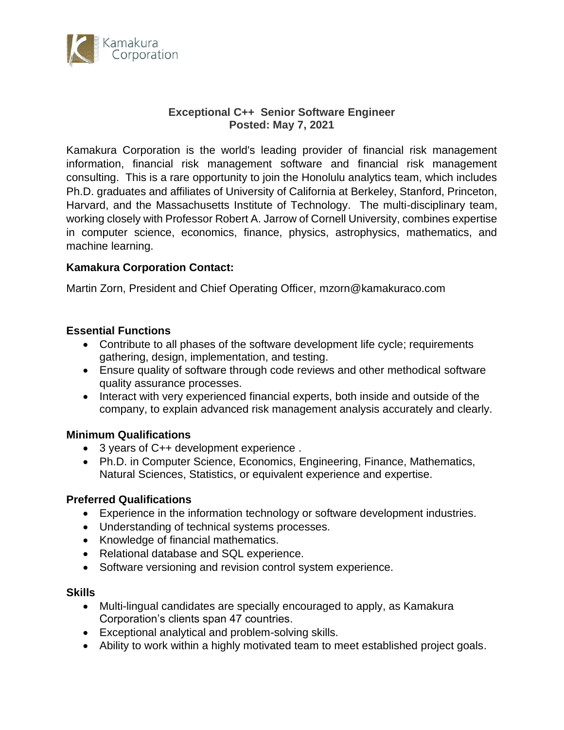

## **Exceptional C++ Senior Software Engineer Posted: May 7, 2021**

Kamakura Corporation is the world's leading provider of financial risk management information, financial risk management software and financial risk management consulting. This is a rare opportunity to join the Honolulu analytics team, which includes Ph.D. graduates and affiliates of University of California at Berkeley, Stanford, Princeton, Harvard, and the Massachusetts Institute of Technology. The multi-disciplinary team, working closely with Professor Robert A. Jarrow of Cornell University, combines expertise in computer science, economics, finance, physics, astrophysics, mathematics, and machine learning.

# **Kamakura Corporation Contact:**

Martin Zorn, President and Chief Operating Officer, mzorn@kamakuraco.com

# **Essential Functions**

- Contribute to all phases of the software development life cycle; requirements gathering, design, implementation, and testing.
- Ensure quality of software through code reviews and other methodical software quality assurance processes.
- Interact with very experienced financial experts, both inside and outside of the company, to explain advanced risk management analysis accurately and clearly.

### **Minimum Qualifications**

- 3 years of C++ development experience .
- Ph.D. in Computer Science, Economics, Engineering, Finance, Mathematics, Natural Sciences, Statistics, or equivalent experience and expertise.

### **Preferred Qualifications**

- Experience in the information technology or software development industries.
- Understanding of technical systems processes.
- Knowledge of financial mathematics.
- Relational database and SQL experience.
- Software versioning and revision control system experience.

### **Skills**

- Multi-lingual candidates are specially encouraged to apply, as Kamakura Corporation's clients span 47 countries.
- Exceptional analytical and problem-solving skills.
- Ability to work within a highly motivated team to meet established project goals.